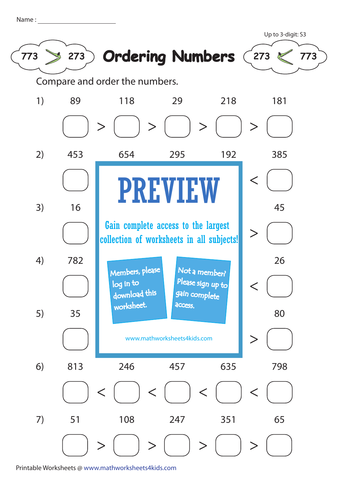| Name |  |  |  |
|------|--|--|--|
|      |  |  |  |